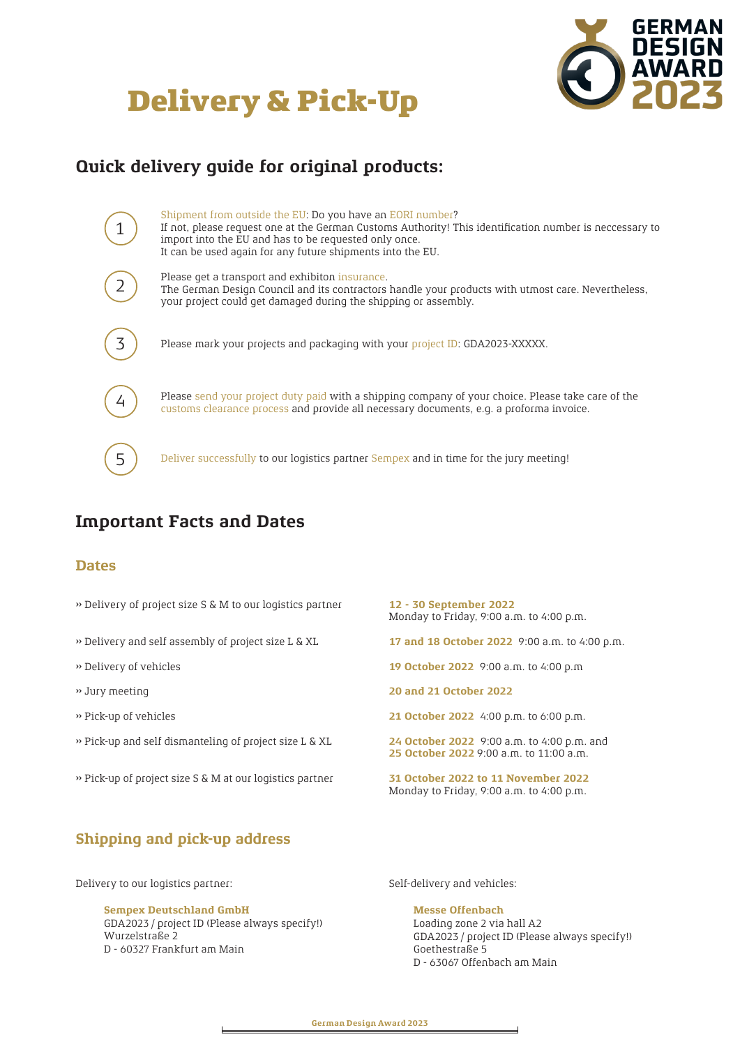# Delivery & Pick-Up



# **Quick delivery guide for original products:**

| Shipment from outside the EU: Do you have an EORI number?<br>If not, please request one at the German Customs Authority! This identification number is neccessary to<br>import into the EU and has to be requested only once.<br>It can be used again for any future shipments into the EU. |
|---------------------------------------------------------------------------------------------------------------------------------------------------------------------------------------------------------------------------------------------------------------------------------------------|
| Please get a transport and exhibiton insurance.<br>The German Design Council and its contractors handle your products with utmost care. Nevertheless,<br>your project could get damaged during the shipping or assembly.                                                                    |
| Please mark your projects and packaging with your project ID: GDA2023-XXXXX.                                                                                                                                                                                                                |
| Please send your project duty paid with a shipping company of your choice. Please take care of the<br>customs clearance process and provide all necessary documents, e.g. a proforma invoice.                                                                                               |
| Deliver successfully to our logistics partner Sempex and in time for the jury meeting!                                                                                                                                                                                                      |

# **Important Facts and Dates**

## **Dates**

- ›› Delivery of project size S & M to our logistics partner **12 30 September 2022**
- ›› Delivery and self assembly of project size L & XL **17 and 18 October 2022** 9:00 a.m. to 4:00 p.m.
- 
- 
- 
- ›› Pick-up and self dismanteling of project size L & XL **24 October 2022** 9:00 a.m. to 4:00 p.m. and
- ›› Pick-up of project size S & M at our logistics partner **31 October 2022 to 11 November 2022**

Monday to Friday, 9:00 a.m. to 4:00 p.m.

- 
- ›› Delivery of vehicles **19 October 2022** 9:00 a.m. to 4:00 p.m
- ›› Jury meeting **20 and 21 October 2022**
- ›› Pick-up of vehicles **21 October 2022** 4:00 p.m. to 6:00 p.m.
	- **25 October 2022** 9:00 a.m. to 11:00 a.m.
	- Monday to Friday, 9:00 a.m. to 4:00 p.m.

## **Shipping and pick-up address**

Delivery to our logistics partner:  $\qquad \qquad$  Self-delivery and vehicles:

**Sempex Deutschland GmbH** GDA2023 / project ID (Please always specify!) Wurzelstraße 2 D - 60327 Frankfurt am Main

**Messe Offenbach** Loading zone 2 via hall A2 GDA2023 / project ID (Please always specify!) Goethestraße 5 D - 63067 Offenbach am Main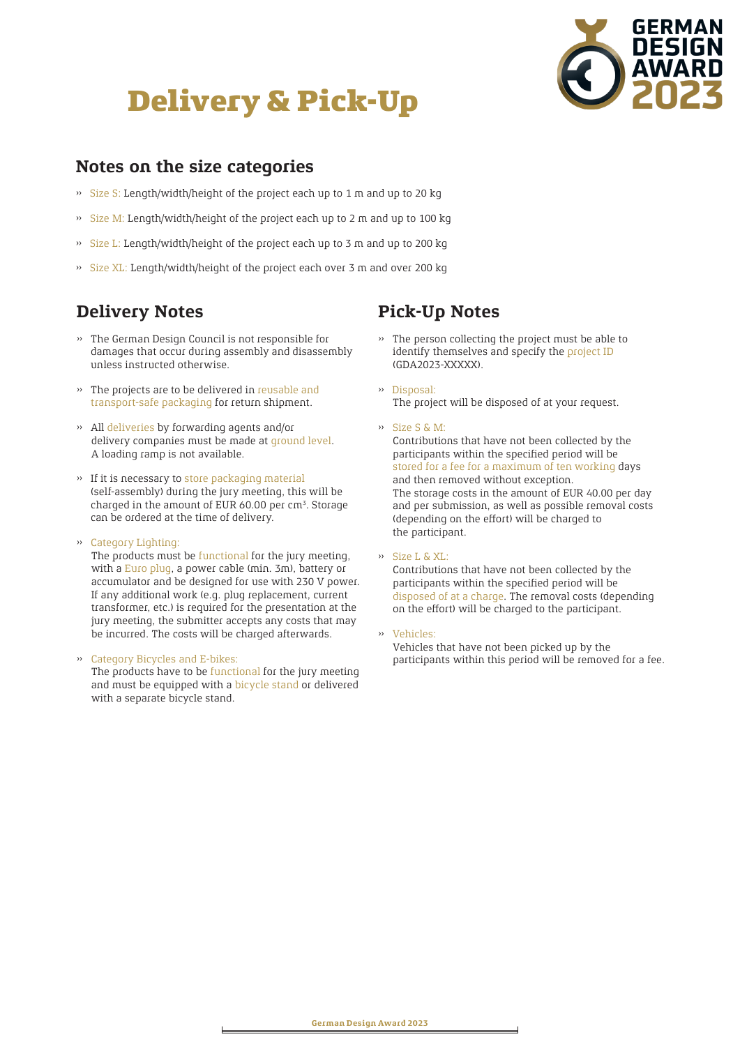



## **Notes on the size categories**

- ›› Size S: Length/width/height of the project each up to 1 m and up to 20 kg
- ›› Size M: Length/width/height of the project each up to 2 m and up to 100 kg
- ›› Size L: Length/width/height of the project each up to 3 m and up to 200 kg
- ›› Size XL: Length/width/height of the project each over 3 m and over 200 kg

## **Delivery Notes**

- ›› The German Design Council is not responsible for damages that occur during assembly and disassembly unless instructed otherwise.
- ›› The projects are to be delivered in reusable and transport-safe packaging for return shipment.
- ›› All deliveries by forwarding agents and/or delivery companies must be made at ground level. A loading ramp is not available.
- ›› If it is necessary to store packaging material (self-assembly) during the jury meeting, this will be charged in the amount of EUR 60.00 per  $cm<sup>3</sup>$ . Storage can be ordered at the time of delivery.
- ›› Category Lighting:

The products must be functional for the jury meeting, with a Euro plug, a power cable (min. 3m), battery or accumulator and be designed for use with 230 V power. If any additional work (e.g. plug replacement, current transformer, etc.) is required for the presentation at the jury meeting, the submitter accepts any costs that may be incurred. The costs will be charged afterwards.

### ›› Category Bicycles and E-bikes:

 The products have to be functional for the jury meeting and must be equipped with a bicycle stand or delivered with a separate bicycle stand.

## **Pick-Up Notes**

- ›› The person collecting the project must be able to identify themselves and specify the project ID (GDA2023-XXXXX).
- ›› Disposal: The project will be disposed of at your request.
- ›› Size S & M:

 Contributions that have not been collected by the participants within the specified period will be stored for a fee for a maximum of ten working days and then removed without exception. The storage costs in the amount of EUR 40.00 per day and per submission, as well as possible removal costs (depending on the effort) will be charged to the participant.

›› Size L & XL:

 Contributions that have not been collected by the participants within the specified period will be disposed of at a charge. The removal costs (depending on the effort) will be charged to the participant.

›› Vehicles:

 Vehicles that have not been picked up by the participants within this period will be removed for a fee.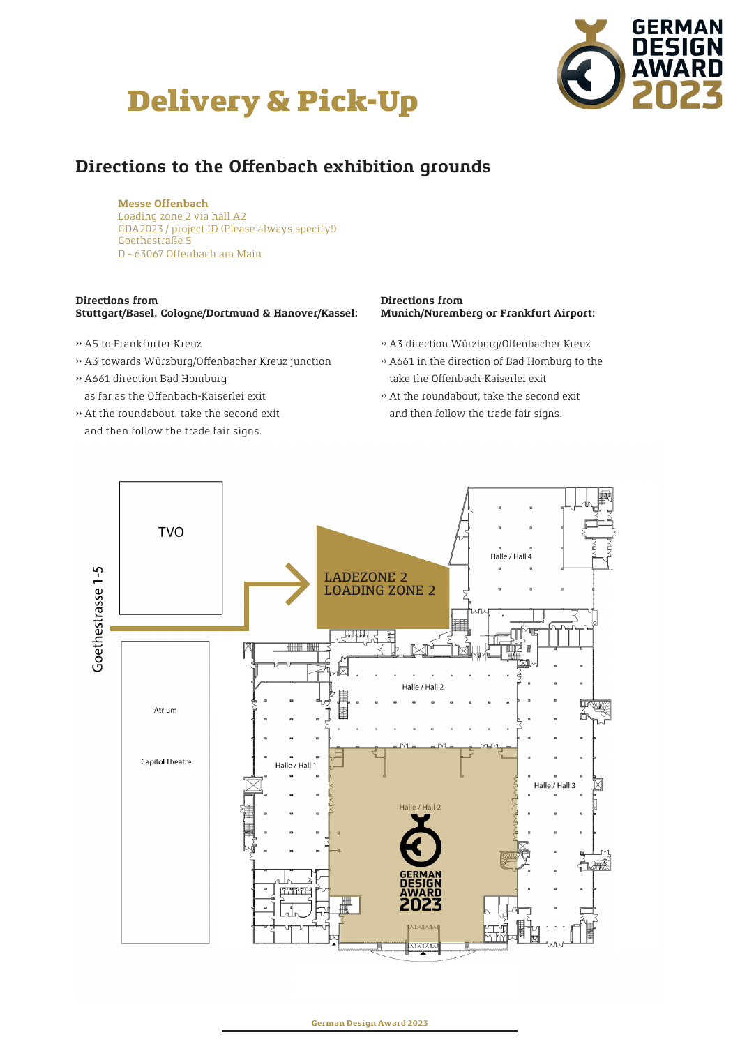# Delivery & Pick-Up



# **Directions to the Offenbach exhibition grounds**

### **Messe Offenbach**

 Loading zone 2 via hall A2 GDA2023 / project ID (Please always specify!) Goethestraße 5 D - 63067 Offenbach am Main

#### **Directions from Stuttgart/Basel, Cologne/Dortmund & Hanover/Kassel:**

- ›› A5 to Frankfurter Kreuz
- ›› A3 towards Würzburg/Offenbacher Kreuz junction
- ›› A661 direction Bad Homburg as far as the Offenbach-Kaiserlei exit
- ›› At the roundabout, take the second exit and then follow the trade fair signs.

### **Directions from Munich/Nuremberg or Frankfurt Airport:**

- ›› A3 direction Würzburg/Offenbacher Kreuz
- ›› A661 in the direction of Bad Homburg to the take the Offenbach-Kaiserlei exit
- ›› At the roundabout, take the second exit and then follow the trade fair signs.



**German Design Award 2023**